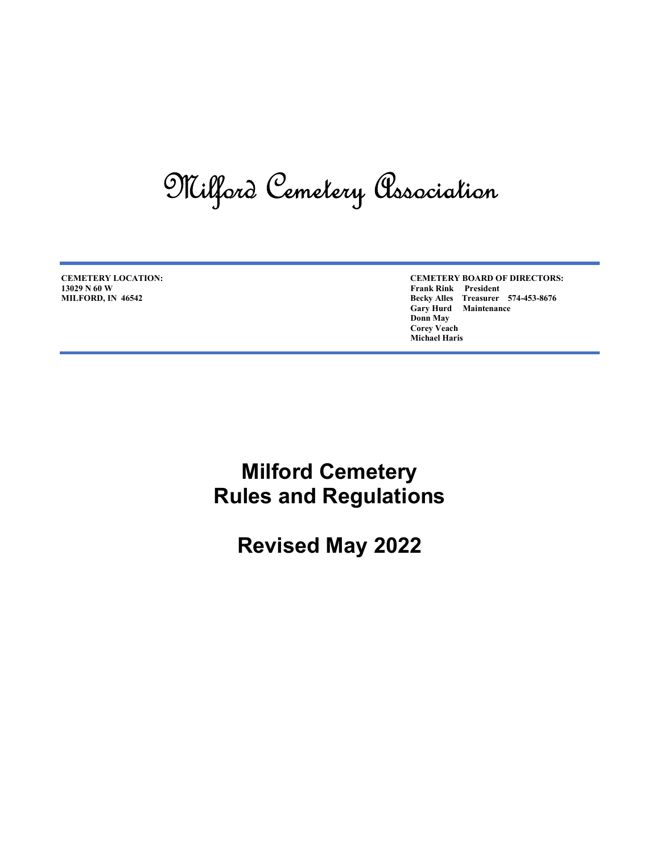# Milford Cemetery Association

13029 N 60 W Frank Rink President

CEMETERY LOCATION: CEMETERY BOARD OF DIRECTORS: MILFORD, IN 46542 Becky Alles Treasurer 574-453-8676 Gary Hurd Maintenance Donn May Corey Veach Michael Haris

> Milford Cemetery Rules and Regulations

> > Revised May 2022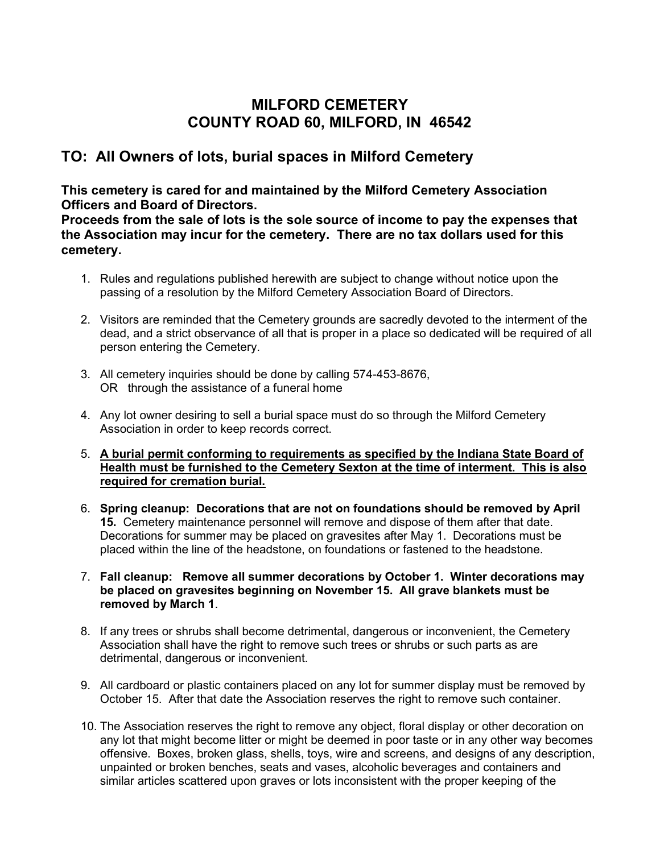#### MILFORD CEMETERY COUNTY ROAD 60, MILFORD, IN 46542

#### TO: All Owners of lots, burial spaces in Milford Cemetery

#### This cemetery is cared for and maintained by the Milford Cemetery Association Officers and Board of Directors.

Proceeds from the sale of lots is the sole source of income to pay the expenses that the Association may incur for the cemetery. There are no tax dollars used for this cemetery.

- 1. Rules and regulations published herewith are subject to change without notice upon the passing of a resolution by the Milford Cemetery Association Board of Directors.
- 2. Visitors are reminded that the Cemetery grounds are sacredly devoted to the interment of the dead, and a strict observance of all that is proper in a place so dedicated will be required of all person entering the Cemetery.
- 3. All cemetery inquiries should be done by calling 574-453-8676, OR through the assistance of a funeral home
- 4. Any lot owner desiring to sell a burial space must do so through the Milford Cemetery Association in order to keep records correct.
- 5. A burial permit conforming to requirements as specified by the Indiana State Board of Health must be furnished to the Cemetery Sexton at the time of interment. This is also required for cremation burial.
- 6. Spring cleanup: Decorations that are not on foundations should be removed by April 15. Cemetery maintenance personnel will remove and dispose of them after that date. Decorations for summer may be placed on gravesites after May 1. Decorations must be placed within the line of the headstone, on foundations or fastened to the headstone.
- 7. Fall cleanup: Remove all summer decorations by October 1. Winter decorations may be placed on gravesites beginning on November 15. All grave blankets must be removed by March 1.
- 8. If any trees or shrubs shall become detrimental, dangerous or inconvenient, the Cemetery Association shall have the right to remove such trees or shrubs or such parts as are detrimental, dangerous or inconvenient.
- 9. All cardboard or plastic containers placed on any lot for summer display must be removed by October 15. After that date the Association reserves the right to remove such container.
- 10. The Association reserves the right to remove any object, floral display or other decoration on any lot that might become litter or might be deemed in poor taste or in any other way becomes offensive. Boxes, broken glass, shells, toys, wire and screens, and designs of any description, unpainted or broken benches, seats and vases, alcoholic beverages and containers and similar articles scattered upon graves or lots inconsistent with the proper keeping of the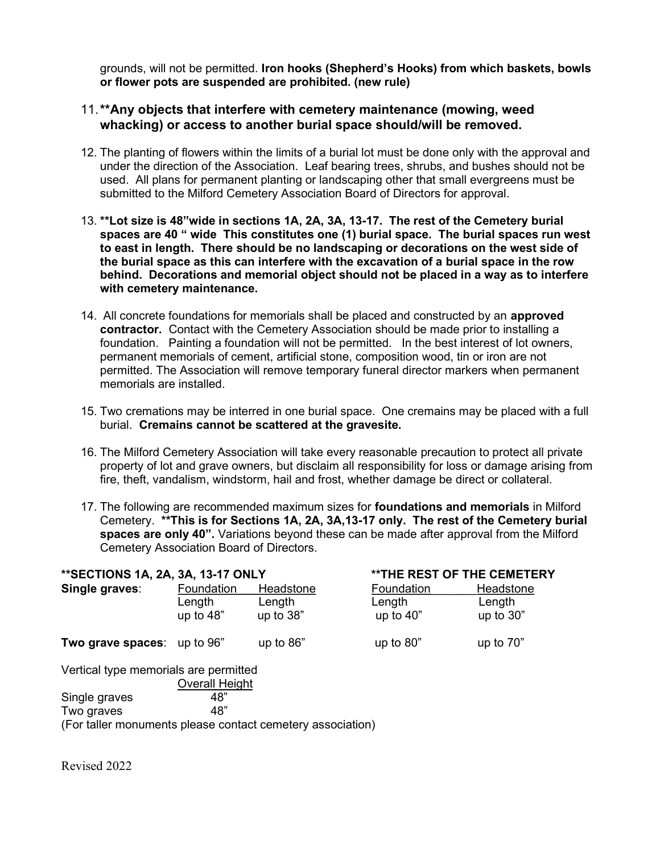grounds, will not be permitted. Iron hooks (Shepherd's Hooks) from which baskets, bowls or flower pots are suspended are prohibited. (new rule)

#### 11. \*\*Any objects that interfere with cemetery maintenance (mowing, weed whacking) or access to another burial space should/will be removed.

- 12. The planting of flowers within the limits of a burial lot must be done only with the approval and under the direction of the Association. Leaf bearing trees, shrubs, and bushes should not be used. All plans for permanent planting or landscaping other that small evergreens must be submitted to the Milford Cemetery Association Board of Directors for approval.
- 13. \*\*Lot size is 48"wide in sections 1A, 2A, 3A, 13-17. The rest of the Cemetery burial spaces are 40 " wide This constitutes one (1) burial space. The burial spaces run west to east in length. There should be no landscaping or decorations on the west side of the burial space as this can interfere with the excavation of a burial space in the row behind. Decorations and memorial object should not be placed in a way as to interfere with cemetery maintenance.
- 14. All concrete foundations for memorials shall be placed and constructed by an **approved** contractor. Contact with the Cemetery Association should be made prior to installing a foundation. Painting a foundation will not be permitted. In the best interest of lot owners, permanent memorials of cement, artificial stone, composition wood, tin or iron are not permitted. The Association will remove temporary funeral director markers when permanent memorials are installed.
- 15. Two cremations may be interred in one burial space. One cremains may be placed with a full burial. Cremains cannot be scattered at the gravesite.
- 16. The Milford Cemetery Association will take every reasonable precaution to protect all private property of lot and grave owners, but disclaim all responsibility for loss or damage arising from fire, theft, vandalism, windstorm, hail and frost, whether damage be direct or collateral.
- 17. The following are recommended maximum sizes for **foundations and memorials** in Milford Cemetery. \*\*This is for Sections 1A, 2A, 3A,13-17 only. The rest of the Cemetery burial spaces are only 40". Variations beyond these can be made after approval from the Milford Cemetery Association Board of Directors.

| **SECTIONS 1A, 2A, 3A, 13-17 ONLY     |                       |             | <b>**THE REST OF THE CEMETERY</b> |             |
|---------------------------------------|-----------------------|-------------|-----------------------------------|-------------|
| Single graves:                        | Foundation            | Headstone   | Foundation                        | Headstone   |
|                                       | Length                | Length      | Length                            | Length      |
|                                       | up to $48"$           | up to $38"$ | up to $40"$                       | up to $30"$ |
| Two grave spaces: up to 96"           |                       | up to $86"$ | up to $80"$                       | up to $70"$ |
| Vertical type memorials are permitted |                       |             |                                   |             |
|                                       | <b>Overall Height</b> |             |                                   |             |
| Single graves                         | 48"                   |             |                                   |             |
| Two graves                            | 48"                   |             |                                   |             |

(For taller monuments please contact cemetery association)

Revised 2022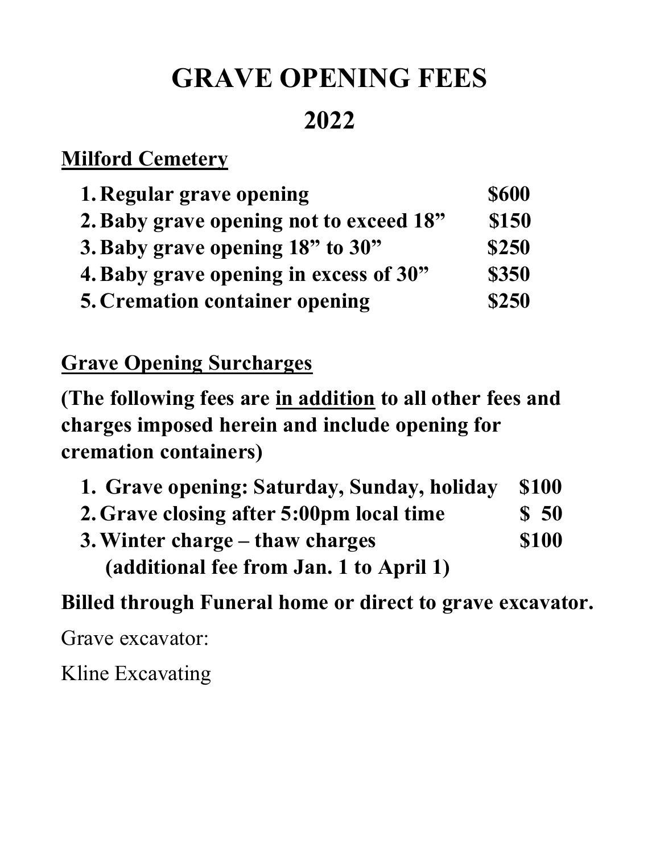# GRAVE OPENING FEES

### 2022

### **Milford Cemetery**

| 1. Regular grave opening                | <b>\$600</b> |
|-----------------------------------------|--------------|
| 2. Baby grave opening not to exceed 18" | \$150        |
| 3. Baby grave opening 18" to 30"        | \$250        |
| 4. Baby grave opening in excess of 30"  | \$350        |
| <b>5. Cremation container opening</b>   | \$250        |

### Grave Opening Surcharges

(The following fees are in addition to all other fees and charges imposed herein and include opening for cremation containers)

| 1. Grave opening: Saturday, Sunday, holiday | <b>\$100</b>     |
|---------------------------------------------|------------------|
| 2. Grave closing after 5:00pm local time    | $\frac{1}{2}$ 50 |
| 3. Winter charge – thaw charges             | <b>\$100</b>     |
| (additional fee from Jan. 1 to April 1)     |                  |

### Billed through Funeral home or direct to grave excavator.

Grave excavator:

Kline Excavating